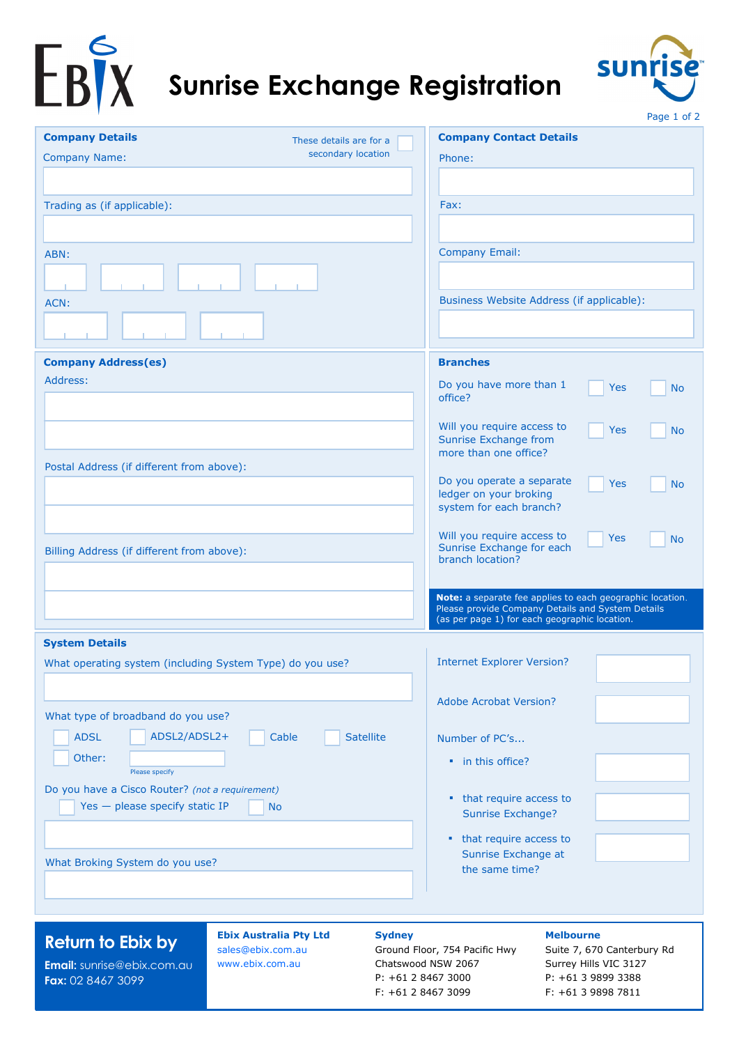



|                                                                                                |                                      | Page 1 of 2                                                                                                    |  |  |  |
|------------------------------------------------------------------------------------------------|--------------------------------------|----------------------------------------------------------------------------------------------------------------|--|--|--|
| <b>Company Details</b>                                                                         | These details are for a              | <b>Company Contact Details</b>                                                                                 |  |  |  |
| <b>Company Name:</b>                                                                           | secondary location                   | Phone:                                                                                                         |  |  |  |
|                                                                                                |                                      |                                                                                                                |  |  |  |
| Trading as (if applicable):                                                                    |                                      | Fax:                                                                                                           |  |  |  |
|                                                                                                |                                      |                                                                                                                |  |  |  |
|                                                                                                |                                      |                                                                                                                |  |  |  |
| ABN:                                                                                           |                                      | <b>Company Email:</b>                                                                                          |  |  |  |
|                                                                                                |                                      |                                                                                                                |  |  |  |
| ACN:                                                                                           |                                      | Business Website Address (if applicable):                                                                      |  |  |  |
|                                                                                                |                                      |                                                                                                                |  |  |  |
| <b>Company Address(es)</b>                                                                     |                                      | <b>Branches</b>                                                                                                |  |  |  |
| Address:                                                                                       |                                      | Do you have more than 1<br><b>Yes</b><br><b>No</b>                                                             |  |  |  |
|                                                                                                |                                      | office?                                                                                                        |  |  |  |
|                                                                                                |                                      | Will you require access to<br>Yes<br><b>No</b>                                                                 |  |  |  |
|                                                                                                |                                      | Sunrise Exchange from<br>more than one office?                                                                 |  |  |  |
| Postal Address (if different from above):                                                      |                                      |                                                                                                                |  |  |  |
|                                                                                                |                                      | Do you operate a separate<br>Yes<br><b>No</b><br>ledger on your broking                                        |  |  |  |
|                                                                                                |                                      | system for each branch?                                                                                        |  |  |  |
|                                                                                                |                                      |                                                                                                                |  |  |  |
| Billing Address (if different from above):                                                     |                                      | Will you require access to<br>Yes<br><b>No</b><br>Sunrise Exchange for each                                    |  |  |  |
|                                                                                                |                                      | branch location?                                                                                               |  |  |  |
|                                                                                                |                                      |                                                                                                                |  |  |  |
|                                                                                                |                                      | Note: a separate fee applies to each geographic location.<br>Please provide Company Details and System Details |  |  |  |
|                                                                                                |                                      | (as per page 1) for each geographic location.                                                                  |  |  |  |
| <b>System Details</b>                                                                          |                                      |                                                                                                                |  |  |  |
| What operating system (including System Type) do you use?                                      |                                      | <b>Internet Explorer Version?</b>                                                                              |  |  |  |
|                                                                                                |                                      | <b>Adobe Acrobat Version?</b>                                                                                  |  |  |  |
| What type of broadband do you use?                                                             |                                      |                                                                                                                |  |  |  |
| ADSL2/ADSL2+<br><b>ADSL</b>                                                                    | Cable<br><b>Satellite</b>            | Number of PC's                                                                                                 |  |  |  |
| Other:                                                                                         |                                      | • in this office?                                                                                              |  |  |  |
| Please specify                                                                                 |                                      |                                                                                                                |  |  |  |
| Do you have a Cisco Router? (not a requirement)                                                |                                      | • that require access to                                                                                       |  |  |  |
| Yes - please specify static IP                                                                 | <b>No</b>                            | Sunrise Exchange?                                                                                              |  |  |  |
|                                                                                                |                                      | • that require access to                                                                                       |  |  |  |
| What Broking System do you use?                                                                |                                      | Sunrise Exchange at                                                                                            |  |  |  |
|                                                                                                |                                      | the same time?                                                                                                 |  |  |  |
|                                                                                                |                                      |                                                                                                                |  |  |  |
|                                                                                                |                                      |                                                                                                                |  |  |  |
| <b>Ebix Australia Pty Ltd</b><br><b>Sydney</b><br><b>Melbourne</b><br><b>Return to Ebix by</b> |                                      |                                                                                                                |  |  |  |
| Email: sunrise@ebix.com.au                                                                     | sales@ebix.com.au<br>www.ebix.com.au | Ground Floor, 754 Pacific Hwy<br>Suite 7, 670 Canterbury Rd<br>Chatswood NSW 2067<br>Surrey Hills VIC 3127     |  |  |  |
| Fax: 02 8467 3099                                                                              |                                      | P: +61 2 8467 3000<br>P: +61 3 9899 3388                                                                       |  |  |  |

F: +61 2 8467 3099

F: +61 3 9898 7811